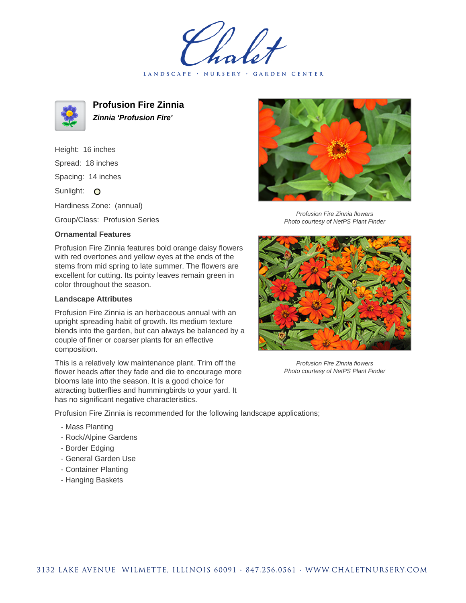LANDSCAPE · NURSERY · GARDEN CENTER



**Profusion Fire Zinnia Zinnia 'Profusion Fire'**

Height: 16 inches Spread: 18 inches Spacing: 14 inches Sunlight: O Hardiness Zone: (annual)

Group/Class: Profusion Series

## **Ornamental Features**

Profusion Fire Zinnia features bold orange daisy flowers with red overtones and yellow eyes at the ends of the stems from mid spring to late summer. The flowers are excellent for cutting. Its pointy leaves remain green in color throughout the season.

## **Landscape Attributes**

Profusion Fire Zinnia is an herbaceous annual with an upright spreading habit of growth. Its medium texture blends into the garden, but can always be balanced by a couple of finer or coarser plants for an effective composition.

This is a relatively low maintenance plant. Trim off the flower heads after they fade and die to encourage more blooms late into the season. It is a good choice for attracting butterflies and hummingbirds to your yard. It has no significant negative characteristics.



Profusion Fire Zinnia flowers Photo courtesy of NetPS Plant Finder



Profusion Fire Zinnia flowers Photo courtesy of NetPS Plant Finder

Profusion Fire Zinnia is recommended for the following landscape applications;

- Mass Planting
- Rock/Alpine Gardens
- Border Edging
- General Garden Use
- Container Planting
- Hanging Baskets